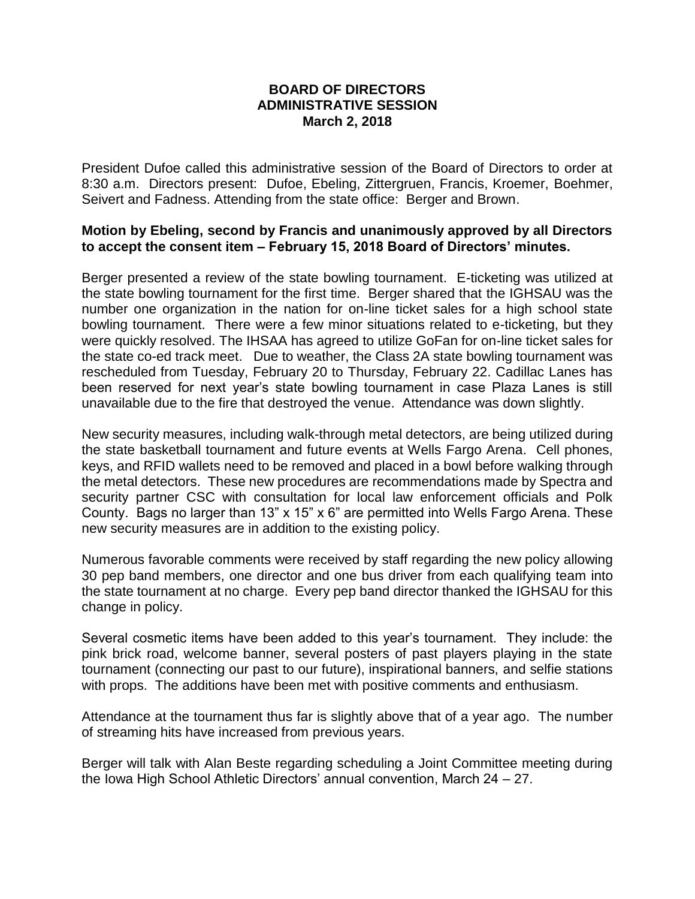## **BOARD OF DIRECTORS ADMINISTRATIVE SESSION March 2, 2018**

President Dufoe called this administrative session of the Board of Directors to order at 8:30 a.m. Directors present: Dufoe, Ebeling, Zittergruen, Francis, Kroemer, Boehmer, Seivert and Fadness. Attending from the state office: Berger and Brown.

## **Motion by Ebeling, second by Francis and unanimously approved by all Directors to accept the consent item – February 15, 2018 Board of Directors' minutes.**

Berger presented a review of the state bowling tournament. E-ticketing was utilized at the state bowling tournament for the first time. Berger shared that the IGHSAU was the number one organization in the nation for on-line ticket sales for a high school state bowling tournament. There were a few minor situations related to e-ticketing, but they were quickly resolved. The IHSAA has agreed to utilize GoFan for on-line ticket sales for the state co-ed track meet. Due to weather, the Class 2A state bowling tournament was rescheduled from Tuesday, February 20 to Thursday, February 22. Cadillac Lanes has been reserved for next year's state bowling tournament in case Plaza Lanes is still unavailable due to the fire that destroyed the venue. Attendance was down slightly.

New security measures, including walk-through metal detectors, are being utilized during the state basketball tournament and future events at Wells Fargo Arena. Cell phones, keys, and RFID wallets need to be removed and placed in a bowl before walking through the metal detectors. These new procedures are recommendations made by Spectra and security partner CSC with consultation for local law enforcement officials and Polk County. Bags no larger than 13" x 15" x 6" are permitted into Wells Fargo Arena. These new security measures are in addition to the existing policy.

Numerous favorable comments were received by staff regarding the new policy allowing 30 pep band members, one director and one bus driver from each qualifying team into the state tournament at no charge. Every pep band director thanked the IGHSAU for this change in policy.

Several cosmetic items have been added to this year's tournament. They include: the pink brick road, welcome banner, several posters of past players playing in the state tournament (connecting our past to our future), inspirational banners, and selfie stations with props. The additions have been met with positive comments and enthusiasm.

Attendance at the tournament thus far is slightly above that of a year ago. The number of streaming hits have increased from previous years.

Berger will talk with Alan Beste regarding scheduling a Joint Committee meeting during the Iowa High School Athletic Directors' annual convention, March 24 – 27.